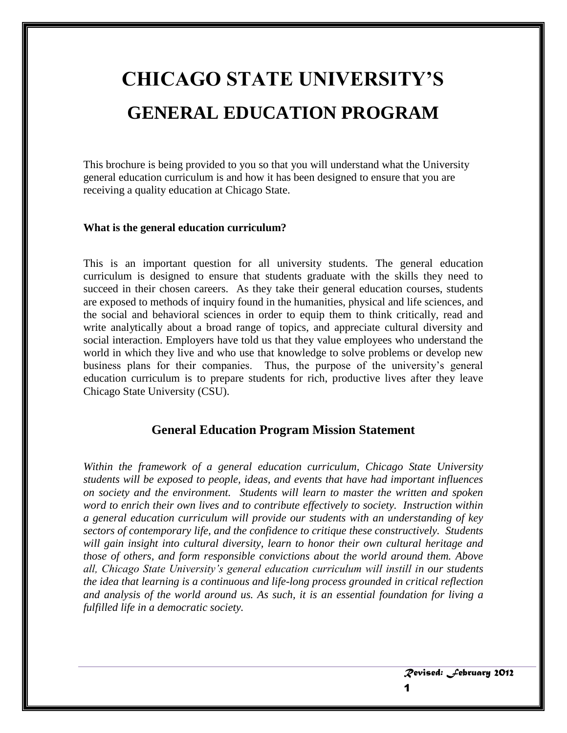# **CHICAGO STATE UNIVERSITY'S GENERAL EDUCATION PROGRAM**

This brochure is being provided to you so that you will understand what the University general education curriculum is and how it has been designed to ensure that you are receiving a quality education at Chicago State.

#### **What is the general education curriculum?**

This is an important question for all university students. The general education curriculum is designed to ensure that students graduate with the skills they need to succeed in their chosen careers. As they take their general education courses, students are exposed to methods of inquiry found in the humanities, physical and life sciences, and the social and behavioral sciences in order to equip them to think critically, read and write analytically about a broad range of topics, and appreciate cultural diversity and social interaction. Employers have told us that they value employees who understand the world in which they live and who use that knowledge to solve problems or develop new business plans for their companies. Thus, the purpose of the university's general education curriculum is to prepare students for rich, productive lives after they leave Chicago State University (CSU).

#### **General Education Program Mission Statement**

*Within the framework of a general education curriculum, Chicago State University students will be exposed to people, ideas, and events that have had important influences on society and the environment. Students will learn to master the written and spoken word to enrich their own lives and to contribute effectively to society. Instruction within a general education curriculum will provide our students with an understanding of key sectors of contemporary life, and the confidence to critique these constructively. Students will gain insight into cultural diversity, learn to honor their own cultural heritage and those of others, and form responsible convictions about the world around them. Above all, Chicago State University's general education curriculum will instill in our students the idea that learning is a continuous and life-long process grounded in critical reflection and analysis of the world around us. As such, it is an essential foundation for living a fulfilled life in a democratic society.*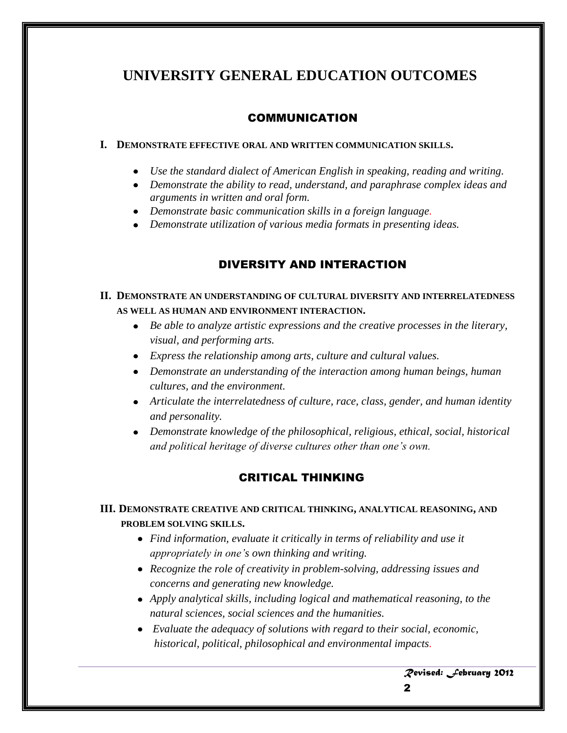# **UNIVERSITY GENERAL EDUCATION OUTCOMES**

# COMMUNICATION

#### **I. DEMONSTRATE EFFECTIVE ORAL AND WRITTEN COMMUNICATION SKILLS.**

- *Use the standard dialect of American English in speaking, reading and writing.*
- *Demonstrate the ability to read, understand, and paraphrase complex ideas and arguments in written and oral form.*
- *Demonstrate basic communication skills in a foreign language.*
- *Demonstrate utilization of various media formats in presenting ideas.*

# DIVERSITY AND INTERACTION

# **II. DEMONSTRATE AN UNDERSTANDING OF CULTURAL DIVERSITY AND INTERRELATEDNESS AS WELL AS HUMAN AND ENVIRONMENT INTERACTION.**

- *Be able to analyze artistic expressions and the creative processes in the literary, visual, and performing arts.*
- *Express the relationship among arts, culture and cultural values.*
- *Demonstrate an understanding of the interaction among human beings, human cultures, and the environment.*
- *Articulate the interrelatedness of culture, race, class, gender, and human identity and personality.*
- *Demonstrate knowledge of the philosophical, religious, ethical, social, historical and political heritage of diverse cultures other than one's own.*

# CRITICAL THINKING

## **III. DEMONSTRATE CREATIVE AND CRITICAL THINKING, ANALYTICAL REASONING, AND PROBLEM SOLVING SKILLS.**

- *Find information, evaluate it critically in terms of reliability and use it appropriately in one's own thinking and writing.*
- *Recognize the role of creativity in problem-solving, addressing issues and concerns and generating new knowledge.*
- *Apply analytical skills, including logical and mathematical reasoning, to the natural sciences, social sciences and the humanities.*
- *Evaluate the adequacy of solutions with regard to their social, economic, historical, political, philosophical and environmental impacts.*

*Revised: February 2012* 2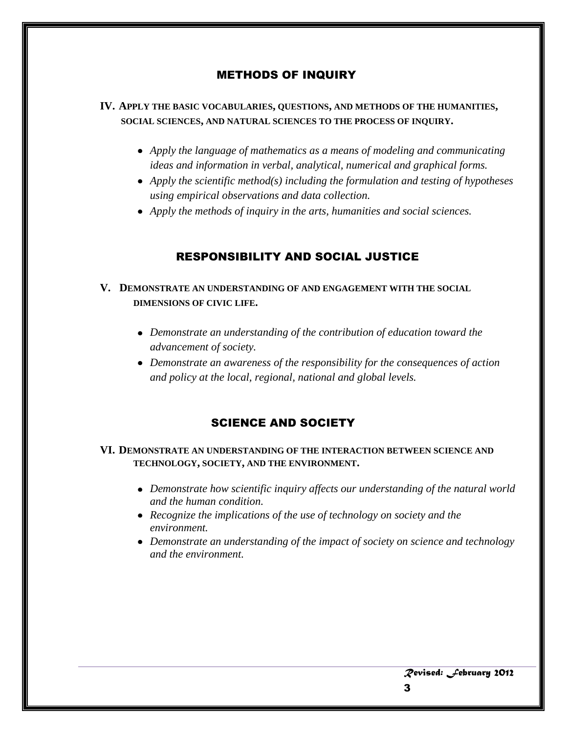# METHODS OF INQUIRY

#### **IV. APPLY THE BASIC VOCABULARIES, QUESTIONS, AND METHODS OF THE HUMANITIES, SOCIAL SCIENCES, AND NATURAL SCIENCES TO THE PROCESS OF INQUIRY.**

- *Apply the language of mathematics as a means of modeling and communicating ideas and information in verbal, analytical, numerical and graphical forms.*
- *Apply the scientific method(s) including the formulation and testing of hypotheses using empirical observations and data collection.*
- *Apply the methods of inquiry in the arts, humanities and social sciences.*

## RESPONSIBILITY AND SOCIAL JUSTICE

#### **V. DEMONSTRATE AN UNDERSTANDING OF AND ENGAGEMENT WITH THE SOCIAL DIMENSIONS OF CIVIC LIFE.**

- *Demonstrate an understanding of the contribution of education toward the advancement of society.*
- *Demonstrate an awareness of the responsibility for the consequences of action and policy at the local, regional, national and global levels.*

#### SCIENCE AND SOCIETY

#### **VI. DEMONSTRATE AN UNDERSTANDING OF THE INTERACTION BETWEEN SCIENCE AND TECHNOLOGY, SOCIETY, AND THE ENVIRONMENT.**

- *Demonstrate how scientific inquiry affects our understanding of the natural world and the human condition.*
- *Recognize the implications of the use of technology on society and the environment.*
- *Demonstrate an understanding of the impact of society on science and technology and the environment.*